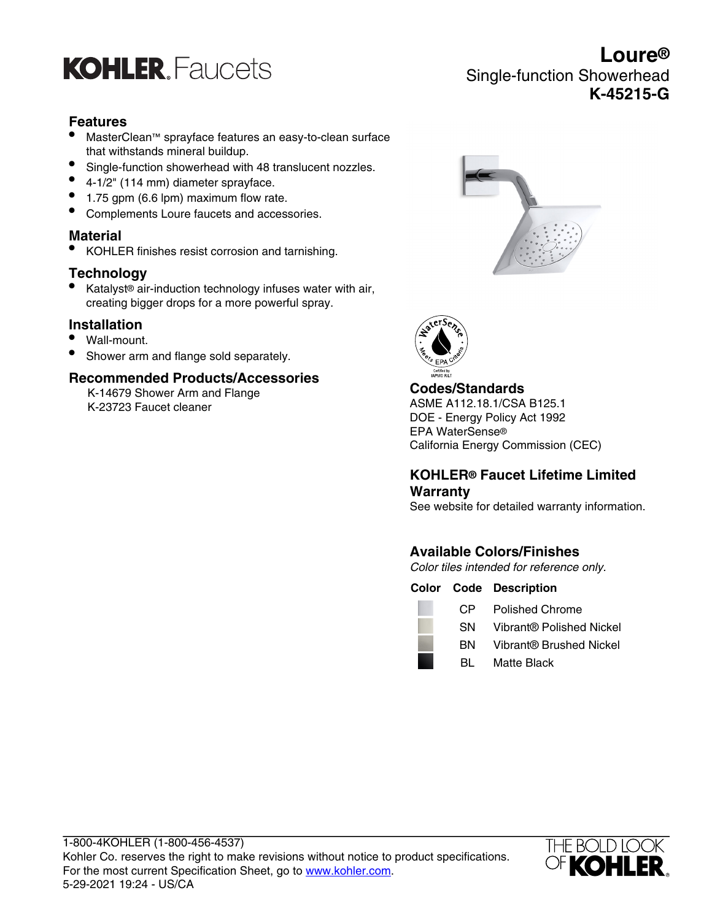

## **Features**

- MasterClean™ sprayface features an easy-to-clean surface that withstands mineral buildup.
- Single-function showerhead with 48 translucent nozzles.
- 4-1/2" (114 mm) diameter sprayface.
- 1.75 gpm (6.6 lpm) maximum flow rate.
- Complements Loure faucets and accessories.

## **Material**

• KOHLER finishes resist corrosion and tarnishing.

## **Technology**

• Katalyst® air-induction technology infuses water with air, creating bigger drops for a more powerful spray.

## **Installation**

- Wall-mount.
- Shower arm and flange sold separately.

### **Recommended Products/Accessories**

K-14679 Shower Arm and Flange K-23723 Faucet cleaner





## **Codes/Standards**

ASME A112.18.1/CSA B125.1 DOE - Energy Policy Act 1992 EPA WaterSense® California Energy Commission (CEC)

## **KOHLER® Faucet Lifetime Limited Warranty**

See website for detailed warranty information.

## **Available Colors/Finishes**

Color tiles intended for reference only.

| <b>Color Code Description</b> |  |
|-------------------------------|--|
|-------------------------------|--|

| _______ |  |
|---------|--|

**Contract** 

- CP Polished Chrome
- SN Vibrant® Polished Nickel BN Vibrant® Brushed Nickel
- BL Matte Black



# **Loure®** Single-function Showerhead **K-45215-G**